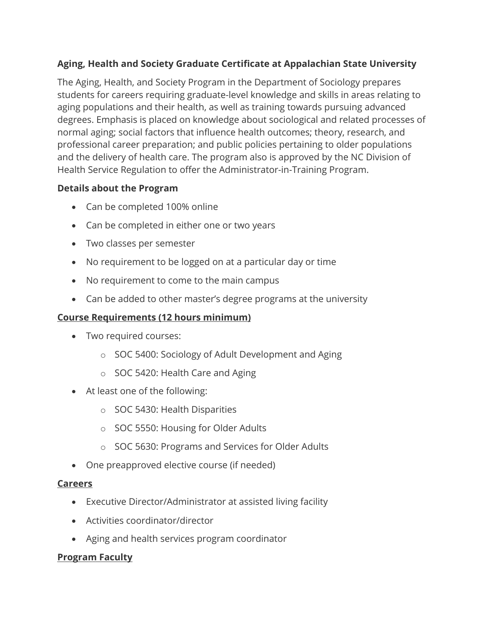# **Aging, Health and Society Graduate Certificate at Appalachian State University**

The Aging, Health, and Society Program in the Department of Sociology prepares students for careers requiring graduate-level knowledge and skills in areas relating to aging populations and their health, as well as training towards pursuing advanced degrees. Emphasis is placed on knowledge about sociological and related processes of normal aging; social factors that influence health outcomes; theory, research, and professional career preparation; and public policies pertaining to older populations and the delivery of health care. The program also is approved by the NC Division of Health Service Regulation to offer the Administrator-in-Training Program.

# **Details about the Program**

- Can be completed 100% online
- Can be completed in either one or two years
- Two classes per semester
- No requirement to be logged on at a particular day or time
- No requirement to come to the main campus
- Can be added to other master's degree programs at the university

### **Course Requirements (12 hours minimum)**

- Two required courses:
	- o SOC 5400: Sociology of Adult Development and Aging
	- o SOC 5420: Health Care and Aging
- At least one of the following:
	- o SOC 5430: Health Disparities
	- o SOC 5550: Housing for Older Adults
	- o SOC 5630: Programs and Services for Older Adults
- One preapproved elective course (if needed)

#### **Careers**

- Executive Director/Administrator at assisted living facility
- Activities coordinator/director
- Aging and health services program coordinator

# **Program Faculty**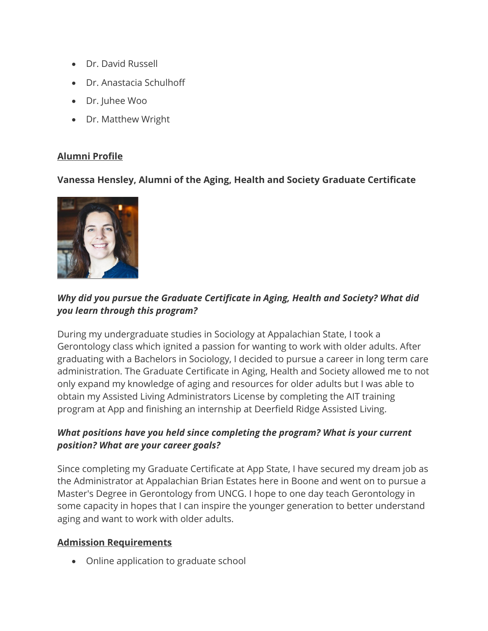- Dr. David Russell
- Dr. Anastacia Schulhoff
- Dr. Juhee Woo
- Dr. Matthew Wright

## **Alumni Profile**

## **Vanessa Hensley, Alumni of the Aging, Health and Society Graduate Certificate**



# *Why did you pursue the Graduate Certificate in Aging, Health and Society? What did you learn through this program?*

During my undergraduate studies in Sociology at Appalachian State, I took a Gerontology class which ignited a passion for wanting to work with older adults. After graduating with a Bachelors in Sociology, I decided to pursue a career in long term care administration. The Graduate Certificate in Aging, Health and Society allowed me to not only expand my knowledge of aging and resources for older adults but I was able to obtain my Assisted Living Administrators License by completing the AIT training program at App and finishing an internship at Deerfield Ridge Assisted Living.

# *What positions have you held since completing the program? What is your current position? What are your career goals?*

Since completing my Graduate Certificate at App State, I have secured my dream job as the Administrator at Appalachian Brian Estates here in Boone and went on to pursue a Master's Degree in Gerontology from UNCG. I hope to one day teach Gerontology in some capacity in hopes that I can inspire the younger generation to better understand aging and want to work with older adults.

#### **Admission Requirements**

• Online application to graduate school